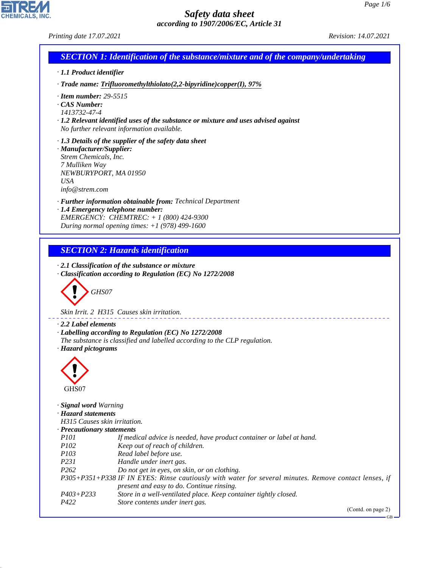GB

# *Safety data sheet according to 1907/2006/EC, Article 31*

44.1.1

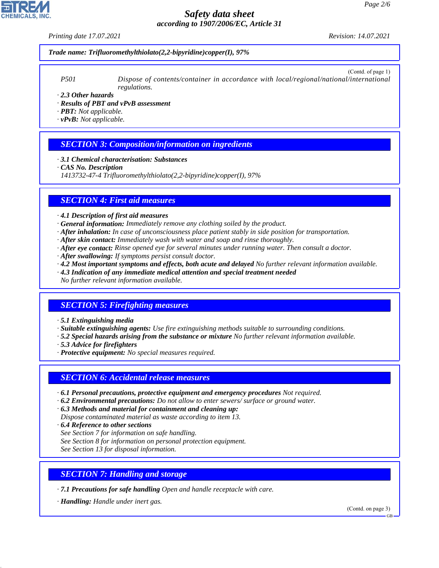*Printing date 17.07.2021 Revision: 14.07.2021*

#### *Trade name: Trifluoromethylthiolato(2,2-bipyridine)copper(I), 97%*

(Contd. of page 1) *P501 Dispose of contents/container in accordance with local/regional/national/international regulations.*

*· 2.3 Other hazards*

*· Results of PBT and vPvB assessment*

*· PBT: Not applicable.*

*· vPvB: Not applicable.*

## *SECTION 3: Composition/information on ingredients*

*· 3.1 Chemical characterisation: Substances*

*· CAS No. Description*

*1413732-47-4 Trifluoromethylthiolato(2,2-bipyridine)copper(I), 97%*

### *SECTION 4: First aid measures*

*· 4.1 Description of first aid measures*

- *· General information: Immediately remove any clothing soiled by the product.*
- *· After inhalation: In case of unconsciousness place patient stably in side position for transportation.*
- *· After skin contact: Immediately wash with water and soap and rinse thoroughly.*
- *· After eye contact: Rinse opened eye for several minutes under running water. Then consult a doctor.*
- *· After swallowing: If symptoms persist consult doctor.*
- *· 4.2 Most important symptoms and effects, both acute and delayed No further relevant information available. · 4.3 Indication of any immediate medical attention and special treatment needed*

*No further relevant information available.*

# *SECTION 5: Firefighting measures*

*· 5.1 Extinguishing media*

- *· Suitable extinguishing agents: Use fire extinguishing methods suitable to surrounding conditions.*
- *· 5.2 Special hazards arising from the substance or mixture No further relevant information available.*
- *· 5.3 Advice for firefighters*
- *· Protective equipment: No special measures required.*

#### *SECTION 6: Accidental release measures*

- *· 6.1 Personal precautions, protective equipment and emergency procedures Not required.*
- *· 6.2 Environmental precautions: Do not allow to enter sewers/ surface or ground water.*

*· 6.3 Methods and material for containment and cleaning up:*

*Dispose contaminated material as waste according to item 13.*

- *· 6.4 Reference to other sections*
- *See Section 7 for information on safe handling.*
- *See Section 8 for information on personal protection equipment.*

*See Section 13 for disposal information.*

# *SECTION 7: Handling and storage*

*· 7.1 Precautions for safe handling Open and handle receptacle with care.*

*· Handling: Handle under inert gas.*

44.1.1

(Contd. on page 3)



GB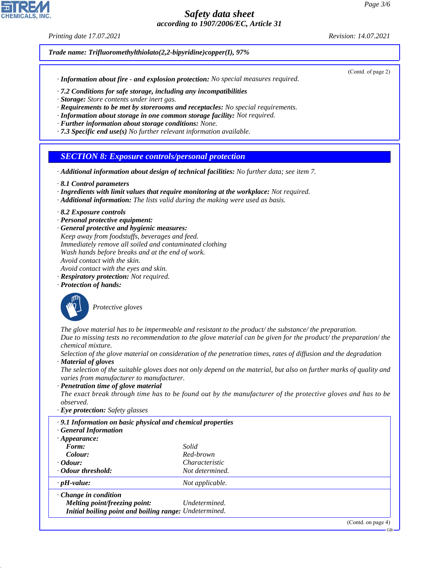*Printing date 17.07.2021 Revision: 14.07.2021*

*Trade name: Trifluoromethylthiolato(2,2-bipyridine)copper(I), 97%*

*· Information about fire - and explosion protection: No special measures required.*

*· 7.2 Conditions for safe storage, including any incompatibilities*

*· Storage: Store contents under inert gas.*

*· Requirements to be met by storerooms and receptacles: No special requirements.*

*· Information about storage in one common storage facility: Not required.*

*· Further information about storage conditions: None.*

*· 7.3 Specific end use(s) No further relevant information available.*

*SECTION 8: Exposure controls/personal protection*

*· Additional information about design of technical facilities: No further data; see item 7.*

*· 8.1 Control parameters*

*· Ingredients with limit values that require monitoring at the workplace: Not required.*

*· Additional information: The lists valid during the making were used as basis.*

*· 8.2 Exposure controls*

*· Personal protective equipment:*

*· General protective and hygienic measures: Keep away from foodstuffs, beverages and feed. Immediately remove all soiled and contaminated clothing Wash hands before breaks and at the end of work. Avoid contact with the skin. Avoid contact with the eyes and skin.*

*· Respiratory protection: Not required.*

*· Protection of hands:*



44.1.1

\_S*Protective gloves*

*The glove material has to be impermeable and resistant to the product/ the substance/ the preparation. Due to missing tests no recommendation to the glove material can be given for the product/ the preparation/ the chemical mixture.*

*Selection of the glove material on consideration of the penetration times, rates of diffusion and the degradation · Material of gloves*

*The selection of the suitable gloves does not only depend on the material, but also on further marks of quality and varies from manufacturer to manufacturer.*

*· Penetration time of glove material*

*The exact break through time has to be found out by the manufacturer of the protective gloves and has to be observed.*

*· Eye protection: Safety glasses*

| .9.1 Information on basic physical and chemical properties<br><b>General Information</b> |                       |
|------------------------------------------------------------------------------------------|-----------------------|
| $\cdot$ Appearance:                                                                      |                       |
| Form:                                                                                    | Solid                 |
| Colour:                                                                                  | Red-brown             |
| $\cdot$ Odour:                                                                           | <i>Characteristic</i> |
| Odour threshold:                                                                         | Not determined.       |
| $\cdot$ pH-value:                                                                        | Not applicable.       |
| $\cdot$ Change in condition                                                              |                       |
| Melting point/freezing point:                                                            | Undetermined.         |
| Initial boiling point and boiling range: Undetermined.                                   |                       |
|                                                                                          | (Contd. on page 4)    |

(Contd. of page 2)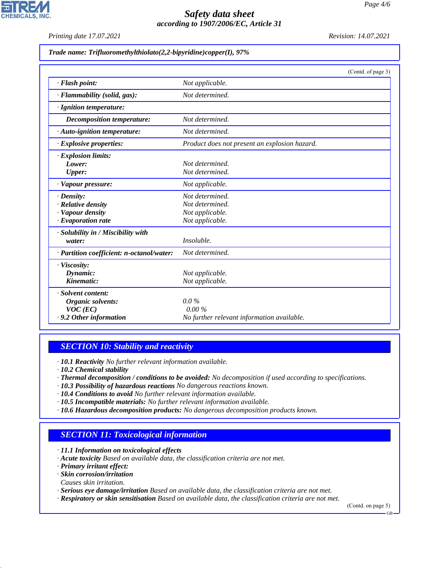

**CHEMICALS, INC** 

| Trade name: Trifluoromethylthiolato(2,2-bipyridine)copper(I), 97% |  |  |
|-------------------------------------------------------------------|--|--|
|                                                                   |  |  |

|                                           | (Contd. of page 3)                            |
|-------------------------------------------|-----------------------------------------------|
| · Flash point:                            | Not applicable.                               |
| · Flammability (solid, gas):              | Not determined.                               |
| · Ignition temperature:                   |                                               |
| Decomposition temperature:                | Not determined.                               |
| · Auto-ignition temperature:              | Not determined.                               |
| $\cdot$ Explosive properties:             | Product does not present an explosion hazard. |
| $\cdot$ Explosion limits:                 |                                               |
| Lower:                                    | Not determined.                               |
| <b>Upper:</b>                             | Not determined.                               |
| · Vapour pressure:                        | Not applicable.                               |
| $\cdot$ Density:                          | Not determined.                               |
| $\cdot$ Relative density                  | Not determined.                               |
| · Vapour density                          | Not applicable.                               |
| $\cdot$ Evaporation rate                  | Not applicable.                               |
| · Solubility in / Miscibility with        |                                               |
| water:                                    | Insoluble.                                    |
| · Partition coefficient: n-octanol/water: | Not determined.                               |
| · Viscosity:                              |                                               |
| Dynamic:                                  | Not applicable.                               |
| Kinematic:                                | Not applicable.                               |
| · Solvent content:                        |                                               |
| Organic solvents:                         | $0.0\%$                                       |
| $VOC$ (EC)                                | 0.00%                                         |
| .9.2 Other information                    | No further relevant information available.    |

# *SECTION 10: Stability and reactivity*

*· 10.1 Reactivity No further relevant information available.*

- *· 10.2 Chemical stability*
- *· Thermal decomposition / conditions to be avoided: No decomposition if used according to specifications.*
- *· 10.3 Possibility of hazardous reactions No dangerous reactions known.*
- *· 10.4 Conditions to avoid No further relevant information available.*
- *· 10.5 Incompatible materials: No further relevant information available.*
- *· 10.6 Hazardous decomposition products: No dangerous decomposition products known.*

# *SECTION 11: Toxicological information*

*· 11.1 Information on toxicological effects*

- *· Acute toxicity Based on available data, the classification criteria are not met.*
- *· Primary irritant effect:*
- *· Skin corrosion/irritation*
- *Causes skin irritation.*

44.1.1

- *· Serious eye damage/irritation Based on available data, the classification criteria are not met.*
- *· Respiratory or skin sensitisation Based on available data, the classification criteria are not met.*

(Contd. on page 5)

GB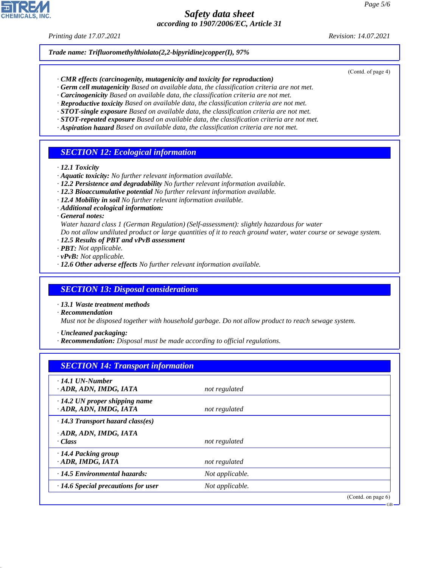#### *Printing date 17.07.2021 Revision: 14.07.2021*

(Contd. of page 4)

GB

*Trade name: Trifluoromethylthiolato(2,2-bipyridine)copper(I), 97%*

- *· CMR effects (carcinogenity, mutagenicity and toxicity for reproduction)*
- *· Germ cell mutagenicity Based on available data, the classification criteria are not met.*
- *· Carcinogenicity Based on available data, the classification criteria are not met.*
- *· Reproductive toxicity Based on available data, the classification criteria are not met.*
- *· STOT-single exposure Based on available data, the classification criteria are not met.*
- *· STOT-repeated exposure Based on available data, the classification criteria are not met.*
- *· Aspiration hazard Based on available data, the classification criteria are not met.*

## *SECTION 12: Ecological information*

- *· 12.1 Toxicity*
- *· Aquatic toxicity: No further relevant information available.*
- *· 12.2 Persistence and degradability No further relevant information available.*
- *· 12.3 Bioaccumulative potential No further relevant information available.*
- *· 12.4 Mobility in soil No further relevant information available.*
- *· Additional ecological information:*
- *· General notes:*
- *Water hazard class 1 (German Regulation) (Self-assessment): slightly hazardous for water*
- *Do not allow undiluted product or large quantities of it to reach ground water, water course or sewage system.*
- *· 12.5 Results of PBT and vPvB assessment*
- *· PBT: Not applicable.*
- *· vPvB: Not applicable.*
- *· 12.6 Other adverse effects No further relevant information available.*

#### *SECTION 13: Disposal considerations*

- *· 13.1 Waste treatment methods*
- *· Recommendation*

*Must not be disposed together with household garbage. Do not allow product to reach sewage system.*

*· Uncleaned packaging:*

*· Recommendation: Disposal must be made according to official regulations.*

| <b>SECTION 14: Transport information</b>                       |                 |                       |
|----------------------------------------------------------------|-----------------|-----------------------|
| $\cdot$ 14.1 UN-Number<br>· ADR, ADN, IMDG, IATA               | not regulated   |                       |
| $\cdot$ 14.2 UN proper shipping name<br>· ADR, ADN, IMDG, IATA | not regulated   |                       |
| $\cdot$ 14.3 Transport hazard class(es)                        |                 |                       |
| · ADR, ADN, IMDG, IATA<br>· Class                              | not regulated   |                       |
| · 14.4 Packing group<br>· ADR, IMDG, IATA                      | not regulated   |                       |
| $\cdot$ 14.5 Environmental hazards:                            | Not applicable. |                       |
| $\cdot$ 14.6 Special precautions for user                      | Not applicable. |                       |
|                                                                |                 | (Contd. on page $6$ ) |



44.1.1